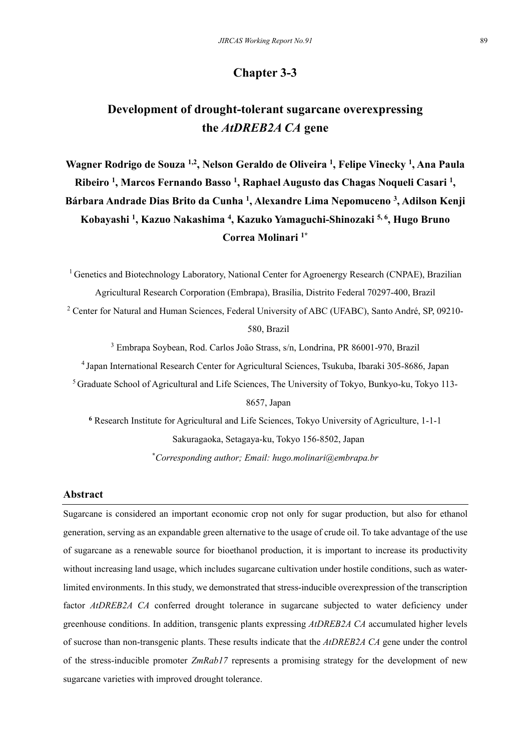## **Chapter 3-3**

# **Development of drought-tolerant sugarcane overexpressing the** *AtDREB2A CA* **gene**

**Wagner Rodrigo de Souza 1,2, Nelson Geraldo de Oliveira 1, Felipe Vinecky 1, Ana Paula Ribeiro 1, Marcos Fernando Basso 1, Raphael Augusto das Chagas Noqueli Casari 1, Bárbara Andrade Dias Brito da Cunha 1, Alexandre Lima Nepomuceno 3 , Adilson Kenji Kobayashi 1 , Kazuo Nakashima 4 , Kazuko Yamaguchi-Shinozaki 5, 6, Hugo Bruno Correa Molinari 1\***

<sup>1</sup> Genetics and Biotechnology Laboratory, National Center for Agroenergy Research (CNPAE), Brazilian Agricultural Research Corporation (Embrapa), Brasília, Distrito Federal 70297-400, Brazil

<sup>2</sup> Center for Natural and Human Sciences, Federal University of ABC (UFABC), Santo André, SP, 09210-580, Brazil

3 Embrapa Soybean, Rod. Carlos João Strass, s/n, Londrina, PR 86001-970, Brazil

4 Japan International Research Center for Agricultural Sciences, Tsukuba, Ibaraki 305-8686, Japan

5 Graduate School of Agricultural and Life Sciences, The University of Tokyo, Bunkyo-ku, Tokyo 113-

8657, Japan

**<sup>6</sup>** Research Institute for Agricultural and Life Sciences, Tokyo University of Agriculture, 1-1-1 Sakuragaoka, Setagaya-ku, Tokyo 156-8502, Japan **\****Corresponding author; Email: hugo.molinari@embrapa.br* 

## **Abstract**

Sugarcane is considered an important economic crop not only for sugar production, but also for ethanol generation, serving as an expandable green alternative to the usage of crude oil. To take advantage of the use of sugarcane as a renewable source for bioethanol production, it is important to increase its productivity without increasing land usage, which includes sugarcane cultivation under hostile conditions, such as waterlimited environments. In this study, we demonstrated that stress-inducible overexpression of the transcription factor *AtDREB2A CA* conferred drought tolerance in sugarcane subjected to water deficiency under greenhouse conditions. In addition, transgenic plants expressing *AtDREB2A CA* accumulated higher levels of sucrose than non-transgenic plants. These results indicate that the *AtDREB2A CA* gene under the control of the stress-inducible promoter *ZmRab17* represents a promising strategy for the development of new sugarcane varieties with improved drought tolerance.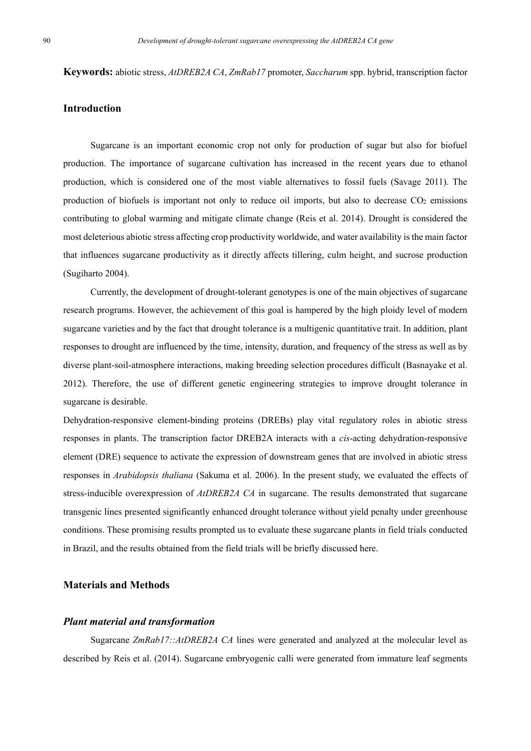**Keywords:** abiotic stress, *AtDREB2A CA*, *ZmRab17* promoter, *Saccharum* spp. hybrid, transcription factor

## **Introduction**

Sugarcane is an important economic crop not only for production of sugar but also for biofuel production. The importance of sugarcane cultivation has increased in the recent years due to ethanol production, which is considered one of the most viable alternatives to fossil fuels (Savage 2011). The production of biofuels is important not only to reduce oil imports, but also to decrease  $CO<sub>2</sub>$  emissions contributing to global warming and mitigate climate change (Reis et al. 2014). Drought is considered the most deleterious abiotic stress affecting crop productivity worldwide, and water availability is the main factor that influences sugarcane productivity as it directly affects tillering, culm height, and sucrose production (Sugiharto 2004).

Currently, the development of drought-tolerant genotypes is one of the main objectives of sugarcane research programs. However, the achievement of this goal is hampered by the high ploidy level of modern sugarcane varieties and by the fact that drought tolerance is a multigenic quantitative trait. In addition, plant responses to drought are influenced by the time, intensity, duration, and frequency of the stress as well as by diverse plant-soil-atmosphere interactions, making breeding selection procedures difficult (Basnayake et al. 2012). Therefore, the use of different genetic engineering strategies to improve drought tolerance in sugarcane is desirable.

Dehydration-responsive element-binding proteins (DREBs) play vital regulatory roles in abiotic stress responses in plants. The transcription factor DREB2A interacts with a *cis*-acting dehydration-responsive element (DRE) sequence to activate the expression of downstream genes that are involved in abiotic stress responses in *Arabidopsis thaliana* (Sakuma et al. 2006). In the present study, we evaluated the effects of stress-inducible overexpression of *AtDREB2A CA* in sugarcane. The results demonstrated that sugarcane transgenic lines presented significantly enhanced drought tolerance without yield penalty under greenhouse conditions. These promising results prompted us to evaluate these sugarcane plants in field trials conducted in Brazil, and the results obtained from the field trials will be briefly discussed here.

## **Materials and Methods**

#### *Plant material and transformation*

Sugarcane *ZmRab17::AtDREB2A CA* lines were generated and analyzed at the molecular level as described by Reis et al. (2014). Sugarcane embryogenic calli were generated from immature leaf segments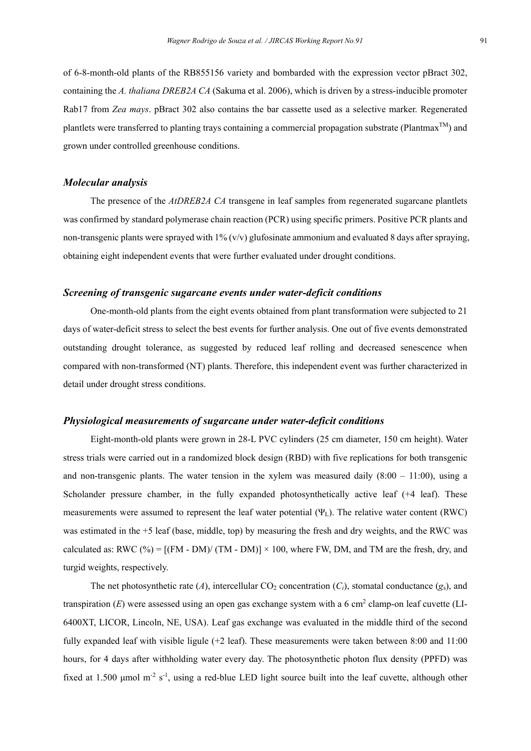of 6-8-month-old plants of the RB855156 variety and bombarded with the expression vector pBract 302, containing the *A. thaliana DREB2A CA* (Sakuma et al. 2006), which is driven by a stress-inducible promoter Rab17 from *Zea mays*. pBract 302 also contains the bar cassette used as a selective marker. Regenerated plantlets were transferred to planting trays containing a commercial propagation substrate (Plantmax<sup>TM</sup>) and grown under controlled greenhouse conditions.

#### *Molecular analysis*

The presence of the *AtDREB2A CA* transgene in leaf samples from regenerated sugarcane plantlets was confirmed by standard polymerase chain reaction (PCR) using specific primers. Positive PCR plants and non-transgenic plants were sprayed with 1% (v/v) glufosinate ammonium and evaluated 8 days after spraying, obtaining eight independent events that were further evaluated under drought conditions.

## *Screening of transgenic sugarcane events under water-deficit conditions*

One-month-old plants from the eight events obtained from plant transformation were subjected to 21 days of water-deficit stress to select the best events for further analysis. One out of five events demonstrated outstanding drought tolerance, as suggested by reduced leaf rolling and decreased senescence when compared with non-transformed (NT) plants. Therefore, this independent event was further characterized in detail under drought stress conditions.

#### *Physiological measurements of sugarcane under water-deficit conditions*

Eight-month-old plants were grown in 28-L PVC cylinders (25 cm diameter, 150 cm height). Water stress trials were carried out in a randomized block design (RBD) with five replications for both transgenic and non-transgenic plants. The water tension in the xylem was measured daily  $(8:00 - 11:00)$ , using a Scholander pressure chamber, in the fully expanded photosynthetically active leaf (+4 leaf). These measurements were assumed to represent the leaf water potential  $(\Psi_L)$ . The relative water content (RWC) was estimated in the +5 leaf (base, middle, top) by measuring the fresh and dry weights, and the RWC was calculated as: RWC (%) =  $[(FM - DM)/(TM - DM)] \times 100$ , where FW, DM, and TM are the fresh, dry, and turgid weights, respectively.

The net photosynthetic rate  $(A)$ , intercellular  $CO_2$  concentration  $(C_i)$ , stomatal conductance  $(g_s)$ , and transpiration  $(E)$  were assessed using an open gas exchange system with a 6 cm<sup>2</sup> clamp-on leaf cuvette (LI-6400XT, LICOR, Lincoln, NE, USA). Leaf gas exchange was evaluated in the middle third of the second fully expanded leaf with visible ligule (+2 leaf). These measurements were taken between 8:00 and 11:00 hours, for 4 days after withholding water every day. The photosynthetic photon flux density (PPFD) was fixed at 1.500 µmol  $m<sup>2</sup> s<sup>-1</sup>$ , using a red-blue LED light source built into the leaf cuvette, although other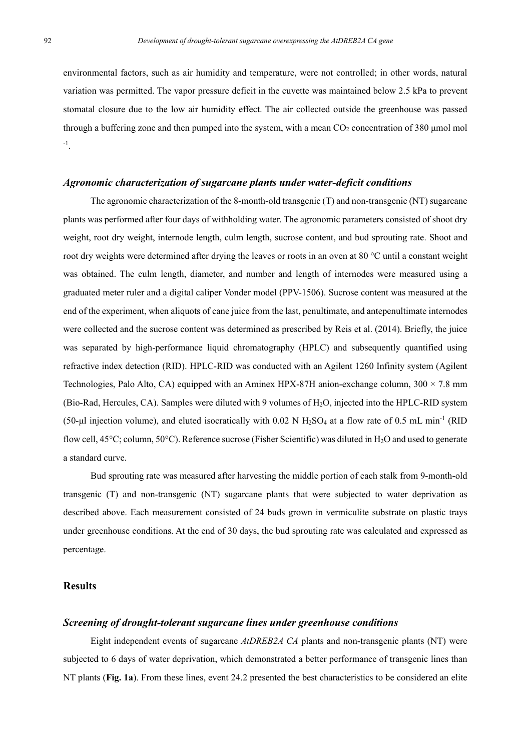environmental factors, such as air humidity and temperature, were not controlled; in other words, natural variation was permitted. The vapor pressure deficit in the cuvette was maintained below 2.5 kPa to prevent stomatal closure due to the low air humidity effect. The air collected outside the greenhouse was passed through a buffering zone and then pumped into the system, with a mean  $CO<sub>2</sub>$  concentration of 380 µmol mol -1.

#### *Agronomic characterization of sugarcane plants under water-deficit conditions*

The agronomic characterization of the 8-month-old transgenic (T) and non-transgenic (NT) sugarcane plants was performed after four days of withholding water. The agronomic parameters consisted of shoot dry weight, root dry weight, internode length, culm length, sucrose content, and bud sprouting rate. Shoot and root dry weights were determined after drying the leaves or roots in an oven at 80 °C until a constant weight was obtained. The culm length, diameter, and number and length of internodes were measured using a graduated meter ruler and a digital caliper Vonder model (PPV-1506). Sucrose content was measured at the end of the experiment, when aliquots of cane juice from the last, penultimate, and antepenultimate internodes were collected and the sucrose content was determined as prescribed by Reis et al. (2014). Briefly, the juice was separated by high-performance liquid chromatography (HPLC) and subsequently quantified using refractive index detection (RID). HPLC-RID was conducted with an Agilent 1260 Infinity system (Agilent Technologies, Palo Alto, CA) equipped with an Aminex HPX-87H anion-exchange column,  $300 \times 7.8$  mm (Bio-Rad, Hercules, CA). Samples were diluted with 9 volumes of H2O, injected into the HPLC-RID system (50-µl injection volume), and eluted isocratically with 0.02 N  $H_2SO_4$  at a flow rate of 0.5 mL min<sup>-1</sup> (RID flow cell,  $45^{\circ}$ C; column,  $50^{\circ}$ C). Reference sucrose (Fisher Scientific) was diluted in H<sub>2</sub>O and used to generate a standard curve.

Bud sprouting rate was measured after harvesting the middle portion of each stalk from 9-month-old transgenic (T) and non-transgenic (NT) sugarcane plants that were subjected to water deprivation as described above. Each measurement consisted of 24 buds grown in vermiculite substrate on plastic trays under greenhouse conditions. At the end of 30 days, the bud sprouting rate was calculated and expressed as percentage.

#### **Results**

## *Screening of drought-tolerant sugarcane lines under greenhouse conditions*

Eight independent events of sugarcane *AtDREB2A CA* plants and non-transgenic plants (NT) were subjected to 6 days of water deprivation, which demonstrated a better performance of transgenic lines than NT plants (**Fig. 1a**). From these lines, event 24.2 presented the best characteristics to be considered an elite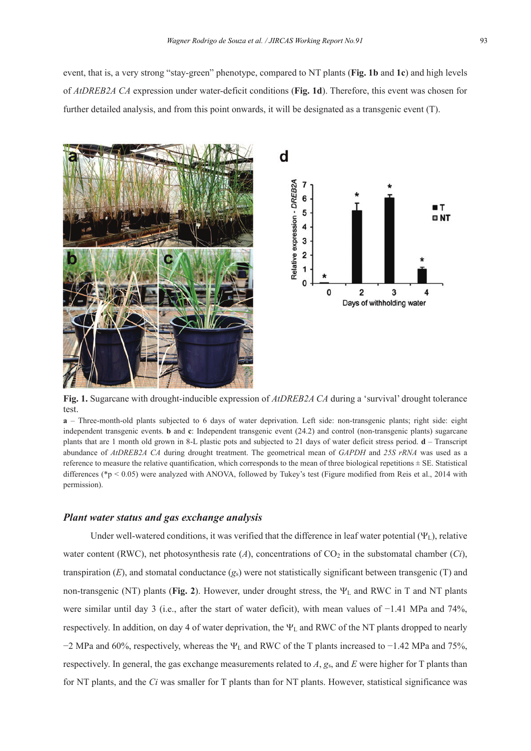event, that is, a very strong "stay-green" phenotype, compared to NT plants (**Fig. 1b** and **1c**) and high levels of *AtDREB2A CA* expression under water-deficit conditions (**Fig. 1d**). Therefore, this event was chosen for further detailed analysis, and from this point onwards, it will be designated as a transgenic event (T).



**Fig. 1.** Sugarcane with drought-inducible expression of *AtDREB2A CA* during a 'survival' drought tolerance test.

**a** – Three-month-old plants subjected to 6 days of water deprivation. Left side: non-transgenic plants; right side: eight independent transgenic events. **b** and **c**: Independent transgenic event (24.2) and control (non-transgenic plants) sugarcane plants that are 1 month old grown in 8-L plastic pots and subjected to 21 days of water deficit stress period. **d** – Transcript abundance of *AtDREB2A CA* during drought treatment. The geometrical mean of *GAPDH* and *25S rRNA* was used as a reference to measure the relative quantification, which corresponds to the mean of three biological repetitions  $\pm$  SE. Statistical differences (\*p < 0.05) were analyzed with ANOVA, followed by Tukey's test (Figure modified from Reis et al., 2014 with permission).

#### *Plant water status and gas exchange analysis*

Under well-watered conditions, it was verified that the difference in leaf water potential  $(\Psi_L)$ , relative water content (RWC), net photosynthesis rate (*A*), concentrations of  $CO<sub>2</sub>$  in the substomatal chamber (*Ci*), transpiration  $(E)$ , and stomatal conductance  $(g_s)$  were not statistically significant between transgenic (T) and non-transgenic (NT) plants (**Fig. 2**). However, under drought stress, the  $\Psi_L$  and RWC in T and NT plants were similar until day 3 (i.e., after the start of water deficit), with mean values of −1.41 MPa and 74%, respectively. In addition, on day 4 of water deprivation, the  $\Psi_L$  and RWC of the NT plants dropped to nearly  $-2$  MPa and 60%, respectively, whereas the  $\Psi_L$  and RWC of the T plants increased to  $-1.42$  MPa and 75%, respectively. In general, the gas exchange measurements related to *A*, *g*s, and *E* were higher for T plants than for NT plants, and the *Ci* was smaller for T plants than for NT plants. However, statistical significance was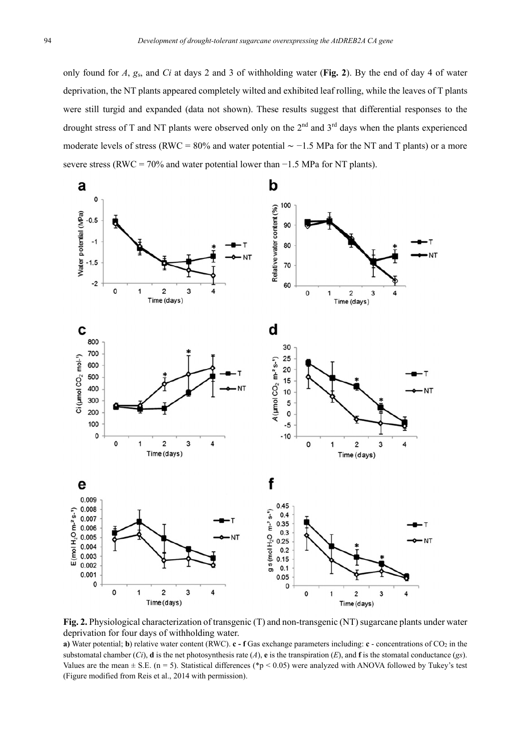only found for *A*, *g*s, and *Ci* at days 2 and 3 of withholding water (**Fig. 2**). By the end of day 4 of water deprivation, the NT plants appeared completely wilted and exhibited leaf rolling, while the leaves of T plants were still turgid and expanded (data not shown). These results suggest that differential responses to the drought stress of T and NT plants were observed only on the 2<sup>nd</sup> and 3<sup>rd</sup> days when the plants experienced moderate levels of stress (RWC = 80% and water potential ∼ −1.5 MPa for the NT and T plants) or a more severe stress (RWC =  $70\%$  and water potential lower than  $-1.5$  MPa for NT plants).



**Fig. 2.** Physiological characterization of transgenic (T) and non-transgenic (NT) sugarcane plants under water deprivation for four days of withholding water.

**a)** Water potential; **b**) relative water content (RWC). **c - f** Gas exchange parameters including: **c** - concentrations of CO2 in the substomatal chamber  $(Ci)$ , **d** is the net photosynthesis rate  $(A)$ , **e** is the transpiration  $(E)$ , and **f** is the stomatal conductance (*gs*). Values are the mean  $\pm$  S.E. (n = 5). Statistical differences (\*p < 0.05) were analyzed with ANOVA followed by Tukey's test (Figure modified from Reis et al., 2014 with permission).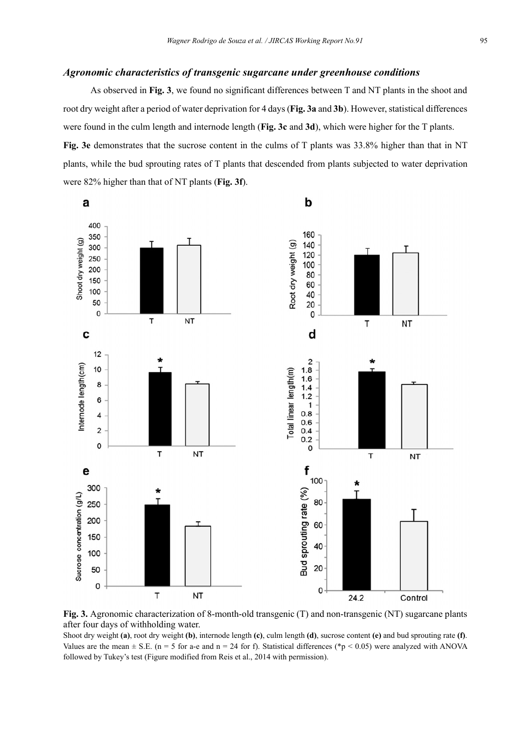#### *Agronomic characteristics of transgenic sugarcane under greenhouse conditions*

As observed in **Fig. 3**, we found no significant differences between T and NT plants in the shoot and root dry weight after a period of water deprivation for 4 days (**Fig. 3a** and **3b**). However, statistical differences were found in the culm length and internode length (**Fig. 3c** and **3d**), which were higher for the T plants. **Fig. 3e** demonstrates that the sucrose content in the culms of T plants was 33.8% higher than that in NT plants, while the bud sprouting rates of T plants that descended from plants subjected to water deprivation were 82% higher than that of NT plants (**Fig. 3f**).



**Fig. 3.** Agronomic characterization of 8-month-old transgenic (T) and non-transgenic (NT) sugarcane plants after four days of withholding water.

Shoot dry weight **(a)**, root dry weight **(b)**, internode length **(c)**, culm length **(d)**, sucrose content **(e)** and bud sprouting rate **(f)**. Values are the mean  $\pm$  S.E. (n = 5 for a-e and n = 24 for f). Statistical differences (\*p < 0.05) were analyzed with ANOVA followed by Tukey's test (Figure modified from Reis et al., 2014 with permission).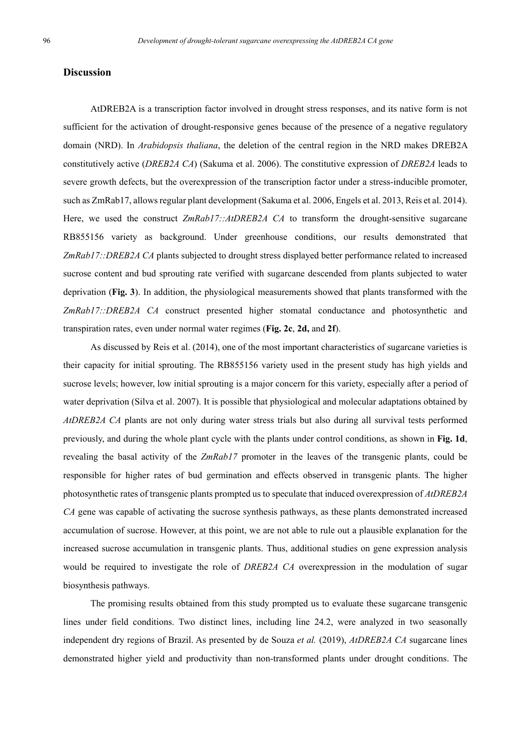## **Discussion**

AtDREB2A is a transcription factor involved in drought stress responses, and its native form is not sufficient for the activation of drought-responsive genes because of the presence of a negative regulatory domain (NRD). In *Arabidopsis thaliana*, the deletion of the central region in the NRD makes DREB2A constitutively active (*DREB2A CA*) (Sakuma et al. 2006). The constitutive expression of *DREB2A* leads to severe growth defects, but the overexpression of the transcription factor under a stress-inducible promoter, such as ZmRab17, allows regular plant development (Sakuma et al. 2006, Engels et al. 2013, Reis et al. 2014). Here, we used the construct *ZmRab17::AtDREB2A CA* to transform the drought-sensitive sugarcane RB855156 variety as background. Under greenhouse conditions, our results demonstrated that *ZmRab17::DREB2A CA* plants subjected to drought stress displayed better performance related to increased sucrose content and bud sprouting rate verified with sugarcane descended from plants subjected to water deprivation (**Fig. 3**). In addition, the physiological measurements showed that plants transformed with the *ZmRab17::DREB2A CA* construct presented higher stomatal conductance and photosynthetic and transpiration rates, even under normal water regimes (**Fig. 2c**, **2d,** and **2f**).

As discussed by Reis et al. (2014), one of the most important characteristics of sugarcane varieties is their capacity for initial sprouting. The RB855156 variety used in the present study has high yields and sucrose levels; however, low initial sprouting is a major concern for this variety, especially after a period of water deprivation (Silva et al. 2007). It is possible that physiological and molecular adaptations obtained by *AtDREB2A CA* plants are not only during water stress trials but also during all survival tests performed previously, and during the whole plant cycle with the plants under control conditions, as shown in **Fig. 1d**, revealing the basal activity of the *ZmRab17* promoter in the leaves of the transgenic plants, could be responsible for higher rates of bud germination and effects observed in transgenic plants. The higher photosynthetic rates of transgenic plants prompted us to speculate that induced overexpression of *AtDREB2A CA* gene was capable of activating the sucrose synthesis pathways, as these plants demonstrated increased accumulation of sucrose. However, at this point, we are not able to rule out a plausible explanation for the increased sucrose accumulation in transgenic plants. Thus, additional studies on gene expression analysis would be required to investigate the role of *DREB2A CA* overexpression in the modulation of sugar biosynthesis pathways.

The promising results obtained from this study prompted us to evaluate these sugarcane transgenic lines under field conditions. Two distinct lines, including line 24.2, were analyzed in two seasonally independent dry regions of Brazil. As presented by de Souza *et al.* (2019), *AtDREB2A CA* sugarcane lines demonstrated higher yield and productivity than non-transformed plants under drought conditions. The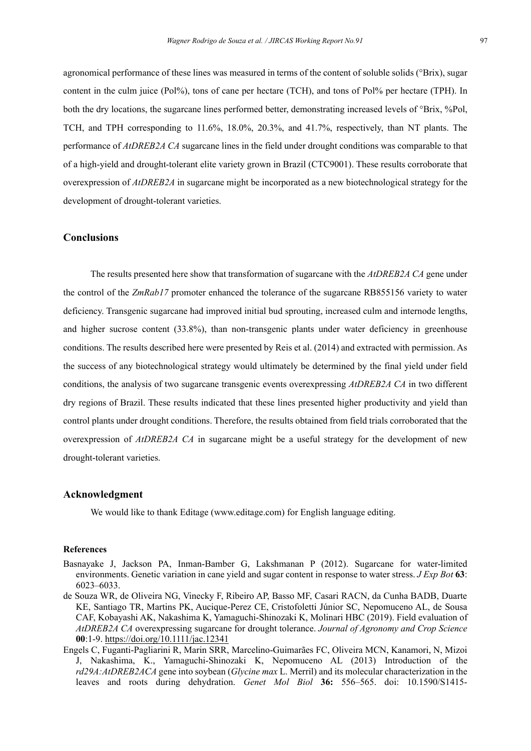agronomical performance of these lines was measured in terms of the content of soluble solids (°Brix), sugar content in the culm juice (Pol%), tons of cane per hectare (TCH), and tons of Pol% per hectare (TPH). In both the dry locations, the sugarcane lines performed better, demonstrating increased levels of °Brix, %Pol, TCH, and TPH corresponding to 11.6%, 18.0%, 20.3%, and 41.7%, respectively, than NT plants. The performance of *AtDREB2A CA* sugarcane lines in the field under drought conditions was comparable to that of a high-yield and drought-tolerant elite variety grown in Brazil (CTC9001). These results corroborate that overexpression of *AtDREB2A* in sugarcane might be incorporated as a new biotechnological strategy for the development of drought-tolerant varieties.

#### **Conclusions**

The results presented here show that transformation of sugarcane with the *AtDREB2A CA* gene under the control of the *ZmRab17* promoter enhanced the tolerance of the sugarcane RB855156 variety to water deficiency. Transgenic sugarcane had improved initial bud sprouting, increased culm and internode lengths, and higher sucrose content (33.8%), than non-transgenic plants under water deficiency in greenhouse conditions. The results described here were presented by Reis et al. (2014) and extracted with permission. As the success of any biotechnological strategy would ultimately be determined by the final yield under field conditions, the analysis of two sugarcane transgenic events overexpressing *AtDREB2A CA* in two different dry regions of Brazil. These results indicated that these lines presented higher productivity and yield than control plants under drought conditions. Therefore, the results obtained from field trials corroborated that the overexpression of *AtDREB2A CA* in sugarcane might be a useful strategy for the development of new drought-tolerant varieties.

## **Acknowledgment**

We would like to thank Editage (www.editage.com) for English language editing.

#### **References**

- Basnayake J, Jackson PA, Inman-Bamber G, Lakshmanan P (2012). Sugarcane for water-limited environments. Genetic variation in cane yield and sugar content in response to water stress. *J Exp Bot* **63**: 6023–6033.
- de Souza WR, de Oliveira NG, Vinecky F, Ribeiro AP, Basso MF, Casari RACN, da Cunha BADB, Duarte KE, Santiago TR, Martins PK, Aucique-Perez CE, Cristofoletti Júnior SC, Nepomuceno AL, de Sousa CAF, Kobayashi AK, Nakashima K, Yamaguchi-Shinozaki K, Molinari HBC (2019). Field evaluation of *AtDREB2A CA* overexpressing sugarcane for drought tolerance. *Journal of Agronomy and Crop Science* **00**:1-9. https://doi.org/10.1111/jac.12341
- Engels C, Fuganti-Pagliarini R, Marin SRR, Marcelino-Guimarães FC, Oliveira MCN, Kanamori, N, Mizoi J, Nakashima, K., Yamaguchi-Shinozaki K, Nepomuceno AL (2013) Introduction of the *rd29A:AtDREB2ACA* gene into soybean (*Glycine max* L. Merril) and its molecular characterization in the leaves and roots during dehydration. *Genet Mol Biol* **36:** 556–565. doi: 10.1590/S1415-